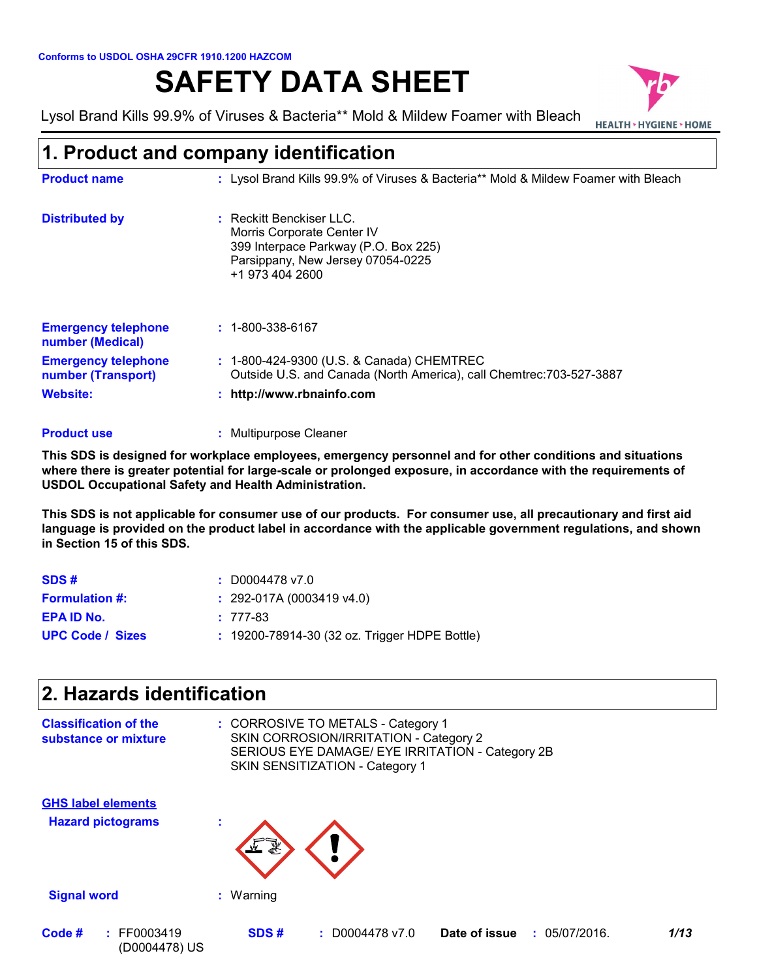# **SAFETY DATA SHEET**

Lysol Brand Kills 99.9% of Viruses & Bacteria\*\* Mold & Mildew Foamer with Bleach<br>HEALTH > HYGIENE > HOME



# **1. Product and company identification**

| <b>Product name</b>                              | : Lysol Brand Kills 99.9% of Viruses & Bacteria** Mold & Mildew Foamer with Bleach                                                                   |
|--------------------------------------------------|------------------------------------------------------------------------------------------------------------------------------------------------------|
| <b>Distributed by</b>                            | Reckitt Benckiser LLC.<br>Morris Corporate Center IV<br>399 Interpace Parkway (P.O. Box 225)<br>Parsippany, New Jersey 07054-0225<br>+1 973 404 2600 |
| <b>Emergency telephone</b><br>number (Medical)   | $: 1 - 800 - 338 - 6167$                                                                                                                             |
| <b>Emergency telephone</b><br>number (Transport) | : 1-800-424-9300 (U.S. & Canada) CHEMTREC<br>Outside U.S. and Canada (North America), call Chemtrec: 703-527-3887                                    |
| Website:                                         | http://www.rbnainfo.com                                                                                                                              |

#### **:** Multipurpose Cleaner **Product use**

**This SDS is designed for workplace employees, emergency personnel and for other conditions and situations where there is greater potential for large-scale or prolonged exposure, in accordance with the requirements of USDOL Occupational Safety and Health Administration.**

**This SDS is not applicable for consumer use of our products. For consumer use, all precautionary and first aid language is provided on the product label in accordance with the applicable government regulations, and shown in Section 15 of this SDS.**

| SDS#                    | $: $ D0004478 v7.0                                  |
|-------------------------|-----------------------------------------------------|
| <b>Formulation #:</b>   | $: 292-017A(0003419v4.0)$                           |
| <b>EPA ID No.</b>       | $: 777-83$                                          |
| <b>UPC Code / Sizes</b> | $: 19200 - 78914 - 30$ (32 oz. Trigger HDPE Bottle) |

# **2. Hazards identification**

| <b>Classification of the</b><br>substance or mixture  |           | : CORROSIVE TO METALS - Category 1<br>SKIN CORROSION/IRRITATION - Category 2<br>SKIN SENSITIZATION - Category 1 | SERIOUS EYE DAMAGE/ EYE IRRITATION - Category 2B |      |
|-------------------------------------------------------|-----------|-----------------------------------------------------------------------------------------------------------------|--------------------------------------------------|------|
| <b>GHS label elements</b><br><b>Hazard pictograms</b> | ×.<br>了解  |                                                                                                                 |                                                  |      |
| <b>Signal word</b>                                    | : Warning |                                                                                                                 |                                                  |      |
| Code #<br>: FF0003419<br>(D0004478) US                | SDS#      | $: $ D0004478 v7.0                                                                                              | Date of issue<br>: 05/07/2016.                   | 1/13 |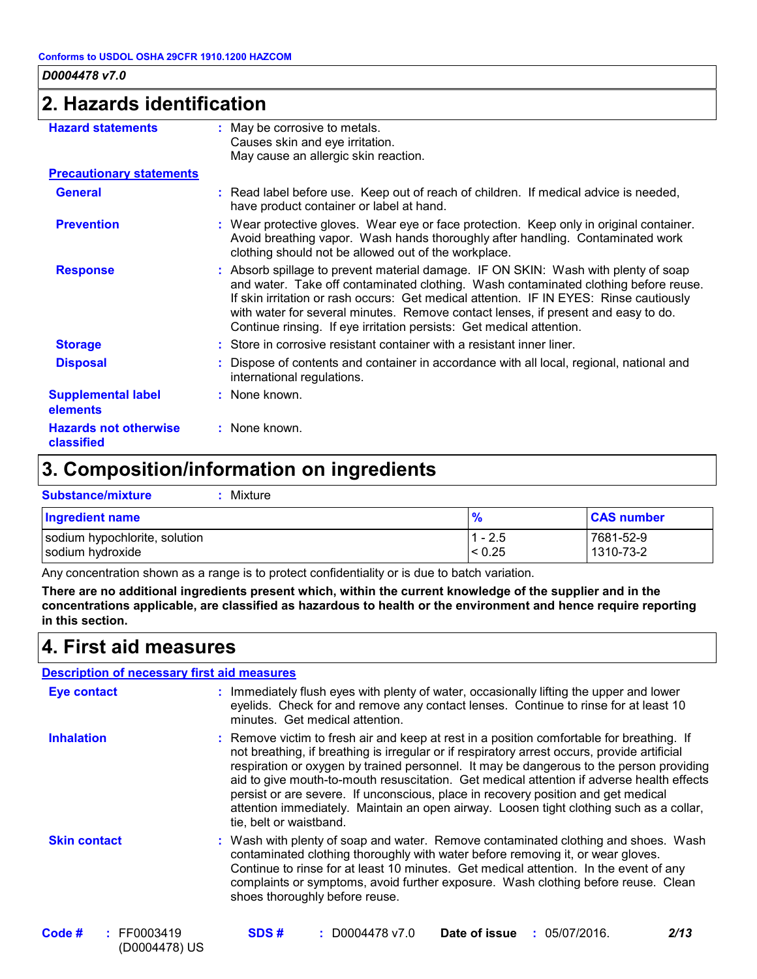### **2. Hazards identification**

| <b>Hazard statements</b>                   | : May be corrosive to metals.                                                                                                                                                                                                                                                                                                                                                                                                    |
|--------------------------------------------|----------------------------------------------------------------------------------------------------------------------------------------------------------------------------------------------------------------------------------------------------------------------------------------------------------------------------------------------------------------------------------------------------------------------------------|
|                                            | Causes skin and eye irritation.                                                                                                                                                                                                                                                                                                                                                                                                  |
|                                            | May cause an allergic skin reaction.                                                                                                                                                                                                                                                                                                                                                                                             |
| <b>Precautionary statements</b>            |                                                                                                                                                                                                                                                                                                                                                                                                                                  |
| <b>General</b>                             | : Read label before use. Keep out of reach of children. If medical advice is needed,<br>have product container or label at hand.                                                                                                                                                                                                                                                                                                 |
| <b>Prevention</b>                          | : Wear protective gloves. Wear eye or face protection. Keep only in original container.<br>Avoid breathing vapor. Wash hands thoroughly after handling. Contaminated work<br>clothing should not be allowed out of the workplace.                                                                                                                                                                                                |
| <b>Response</b>                            | : Absorb spillage to prevent material damage. IF ON SKIN: Wash with plenty of soap<br>and water. Take off contaminated clothing. Wash contaminated clothing before reuse.<br>If skin irritation or rash occurs: Get medical attention. IF IN EYES: Rinse cautiously<br>with water for several minutes. Remove contact lenses, if present and easy to do.<br>Continue rinsing. If eye irritation persists: Get medical attention. |
| <b>Storage</b>                             | : Store in corrosive resistant container with a resistant inner liner.                                                                                                                                                                                                                                                                                                                                                           |
| <b>Disposal</b>                            | : Dispose of contents and container in accordance with all local, regional, national and<br>international regulations.                                                                                                                                                                                                                                                                                                           |
| <b>Supplemental label</b><br>elements      | : None known.                                                                                                                                                                                                                                                                                                                                                                                                                    |
| <b>Hazards not otherwise</b><br>classified | : None known.                                                                                                                                                                                                                                                                                                                                                                                                                    |

# **3. Composition/information on ingredients**

| <b>Substance/mixture</b><br>Mixture               |                       |                        |
|---------------------------------------------------|-----------------------|------------------------|
| <b>Ingredient name</b>                            |                       | <b>CAS number</b>      |
| sodium hypochlorite, solution<br>sodium hydroxide | $ 1 - 2.5 $<br>< 0.25 | 7681-52-9<br>1310-73-2 |

Any concentration shown as a range is to protect confidentiality or is due to batch variation.

**There are no additional ingredients present which, within the current knowledge of the supplier and in the concentrations applicable, are classified as hazardous to health or the environment and hence require reporting in this section.**

### **4. First aid measures**

|                     | <b>Description of necessary first aid measures</b>                                                                                                                                                                                                                                                                                                                                                                                                                                                                                                                                           |
|---------------------|----------------------------------------------------------------------------------------------------------------------------------------------------------------------------------------------------------------------------------------------------------------------------------------------------------------------------------------------------------------------------------------------------------------------------------------------------------------------------------------------------------------------------------------------------------------------------------------------|
| <b>Eye contact</b>  | : Immediately flush eyes with plenty of water, occasionally lifting the upper and lower<br>eyelids. Check for and remove any contact lenses. Continue to rinse for at least 10<br>minutes. Get medical attention.                                                                                                                                                                                                                                                                                                                                                                            |
| <b>Inhalation</b>   | : Remove victim to fresh air and keep at rest in a position comfortable for breathing. If<br>not breathing, if breathing is irregular or if respiratory arrest occurs, provide artificial<br>respiration or oxygen by trained personnel. It may be dangerous to the person providing<br>aid to give mouth-to-mouth resuscitation. Get medical attention if adverse health effects<br>persist or are severe. If unconscious, place in recovery position and get medical<br>attention immediately. Maintain an open airway. Loosen tight clothing such as a collar,<br>tie, belt or waistband. |
| <b>Skin contact</b> | : Wash with plenty of soap and water. Remove contaminated clothing and shoes. Wash<br>contaminated clothing thoroughly with water before removing it, or wear gloves.<br>Continue to rinse for at least 10 minutes. Get medical attention. In the event of any<br>complaints or symptoms, avoid further exposure. Wash clothing before reuse. Clean<br>shoes thoroughly before reuse.                                                                                                                                                                                                        |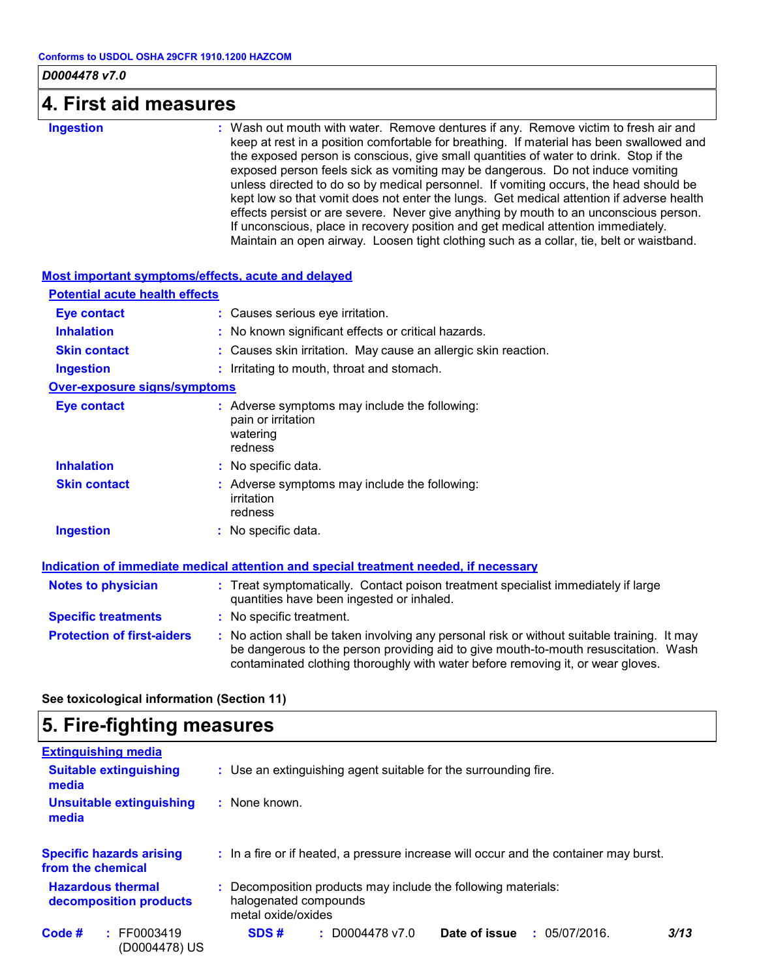### **4. First aid measures**

**Ingestion :**

: Wash out mouth with water. Remove dentures if any. Remove victim to fresh air and keep at rest in a position comfortable for breathing. If material has been swallowed and the exposed person is conscious, give small quantities of water to drink. Stop if the exposed person feels sick as vomiting may be dangerous. Do not induce vomiting unless directed to do so by medical personnel. If vomiting occurs, the head should be kept low so that vomit does not enter the lungs. Get medical attention if adverse health effects persist or are severe. Never give anything by mouth to an unconscious person. If unconscious, place in recovery position and get medical attention immediately. Maintain an open airway. Loosen tight clothing such as a collar, tie, belt or waistband.

| Most important symptoms/effects, acute and delayed |                                                                                                                                                                                                                                                                       |
|----------------------------------------------------|-----------------------------------------------------------------------------------------------------------------------------------------------------------------------------------------------------------------------------------------------------------------------|
| <b>Potential acute health effects</b>              |                                                                                                                                                                                                                                                                       |
| <b>Eye contact</b>                                 | : Causes serious eye irritation.                                                                                                                                                                                                                                      |
| <b>Inhalation</b>                                  | : No known significant effects or critical hazards.                                                                                                                                                                                                                   |
| <b>Skin contact</b>                                | : Causes skin irritation. May cause an allergic skin reaction.                                                                                                                                                                                                        |
| <b>Ingestion</b>                                   | : Irritating to mouth, throat and stomach.                                                                                                                                                                                                                            |
| <b>Over-exposure signs/symptoms</b>                |                                                                                                                                                                                                                                                                       |
| <b>Eye contact</b>                                 | : Adverse symptoms may include the following:<br>pain or irritation<br>watering<br>redness                                                                                                                                                                            |
| <b>Inhalation</b>                                  | : No specific data.                                                                                                                                                                                                                                                   |
| <b>Skin contact</b>                                | : Adverse symptoms may include the following:<br>irritation<br>redness                                                                                                                                                                                                |
| <b>Ingestion</b>                                   | : No specific data.                                                                                                                                                                                                                                                   |
|                                                    | Indication of immediate medical attention and special treatment needed, if necessary                                                                                                                                                                                  |
| <b>Notes to physician</b>                          | : Treat symptomatically. Contact poison treatment specialist immediately if large<br>quantities have been ingested or inhaled.                                                                                                                                        |
| <b>Specific treatments</b>                         | : No specific treatment.                                                                                                                                                                                                                                              |
| <b>Protection of first-aiders</b>                  | : No action shall be taken involving any personal risk or without suitable training. It may<br>be dangerous to the person providing aid to give mouth-to-mouth resuscitation. Wash<br>contaminated clothing thoroughly with water before removing it, or wear gloves. |

### **5. Fire-fighting measures**

| <b>Extinguishing media</b>                           |                                                                                                            |
|------------------------------------------------------|------------------------------------------------------------------------------------------------------------|
| <b>Suitable extinguishing</b><br>media               | : Use an extinguishing agent suitable for the surrounding fire.                                            |
| <b>Unsuitable extinguishing</b><br>media             | : None known.                                                                                              |
| <b>Specific hazards arising</b><br>from the chemical | : In a fire or if heated, a pressure increase will occur and the container may burst.                      |
| <b>Hazardous thermal</b><br>decomposition products   | Decomposition products may include the following materials:<br>halogenated compounds<br>metal oxide/oxides |
| Code #<br>$:$ FF0003419<br>(D0004478) US             | Date of issue<br>$: $ D0004478 v7.0<br>3/13<br>SDS#<br>: 05/07/2016.                                       |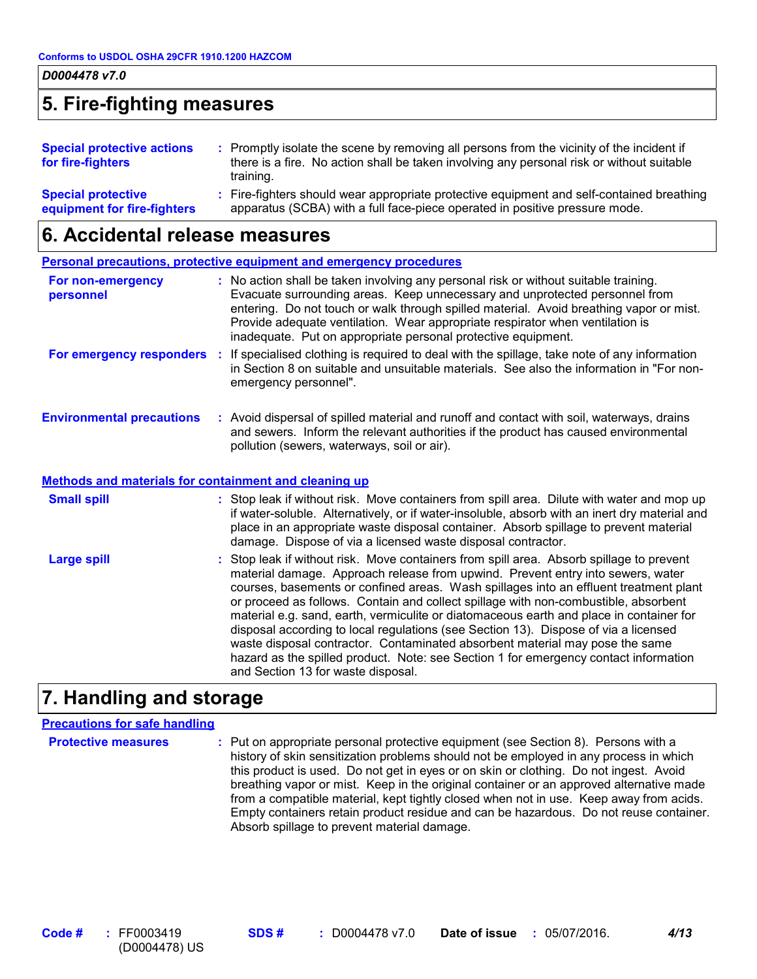### **5. Fire-fighting measures**

| <b>Special protective actions</b><br>for fire-fighters   | : Promptly isolate the scene by removing all persons from the vicinity of the incident if<br>there is a fire. No action shall be taken involving any personal risk or without suitable<br>training. |
|----------------------------------------------------------|-----------------------------------------------------------------------------------------------------------------------------------------------------------------------------------------------------|
| <b>Special protective</b><br>equipment for fire-fighters | : Fire-fighters should wear appropriate protective equipment and self-contained breathing<br>apparatus (SCBA) with a full face-piece operated in positive pressure mode.                            |

### **6. Accidental release measures**

|                                                       | <b>Personal precautions, protective equipment and emergency procedures</b>                                                                                                                                                                                                                                                                                                                                                                                                                                                                                                                                                                                                                                                                                  |
|-------------------------------------------------------|-------------------------------------------------------------------------------------------------------------------------------------------------------------------------------------------------------------------------------------------------------------------------------------------------------------------------------------------------------------------------------------------------------------------------------------------------------------------------------------------------------------------------------------------------------------------------------------------------------------------------------------------------------------------------------------------------------------------------------------------------------------|
| For non-emergency<br>personnel                        | : No action shall be taken involving any personal risk or without suitable training.<br>Evacuate surrounding areas. Keep unnecessary and unprotected personnel from<br>entering. Do not touch or walk through spilled material. Avoid breathing vapor or mist.<br>Provide adequate ventilation. Wear appropriate respirator when ventilation is<br>inadequate. Put on appropriate personal protective equipment.                                                                                                                                                                                                                                                                                                                                            |
| For emergency responders :                            | If specialised clothing is required to deal with the spillage, take note of any information<br>in Section 8 on suitable and unsuitable materials. See also the information in "For non-<br>emergency personnel".                                                                                                                                                                                                                                                                                                                                                                                                                                                                                                                                            |
| <b>Environmental precautions</b>                      | : Avoid dispersal of spilled material and runoff and contact with soil, waterways, drains<br>and sewers. Inform the relevant authorities if the product has caused environmental<br>pollution (sewers, waterways, soil or air).                                                                                                                                                                                                                                                                                                                                                                                                                                                                                                                             |
| Methods and materials for containment and cleaning up |                                                                                                                                                                                                                                                                                                                                                                                                                                                                                                                                                                                                                                                                                                                                                             |
| <b>Small spill</b>                                    | : Stop leak if without risk. Move containers from spill area. Dilute with water and mop up<br>if water-soluble. Alternatively, or if water-insoluble, absorb with an inert dry material and<br>place in an appropriate waste disposal container. Absorb spillage to prevent material<br>damage. Dispose of via a licensed waste disposal contractor.                                                                                                                                                                                                                                                                                                                                                                                                        |
| <b>Large spill</b>                                    | : Stop leak if without risk. Move containers from spill area. Absorb spillage to prevent<br>material damage. Approach release from upwind. Prevent entry into sewers, water<br>courses, basements or confined areas. Wash spillages into an effluent treatment plant<br>or proceed as follows. Contain and collect spillage with non-combustible, absorbent<br>material e.g. sand, earth, vermiculite or diatomaceous earth and place in container for<br>disposal according to local regulations (see Section 13). Dispose of via a licensed<br>waste disposal contractor. Contaminated absorbent material may pose the same<br>hazard as the spilled product. Note: see Section 1 for emergency contact information<br>and Section 13 for waste disposal. |

### **7. Handling and storage**

#### **Precautions for safe handling**

**Protective measures** : Put on appropriate personal protective equipment (see Section 8). Persons with a **Protestion** history of skin sensitization problems should not be employed in any process in which this product is used. Do not get in eyes or on skin or clothing. Do not ingest. Avoid breathing vapor or mist. Keep in the original container or an approved alternative made from a compatible material, kept tightly closed when not in use. Keep away from acids. Empty containers retain product residue and can be hazardous. Do not reuse container. Absorb spillage to prevent material damage.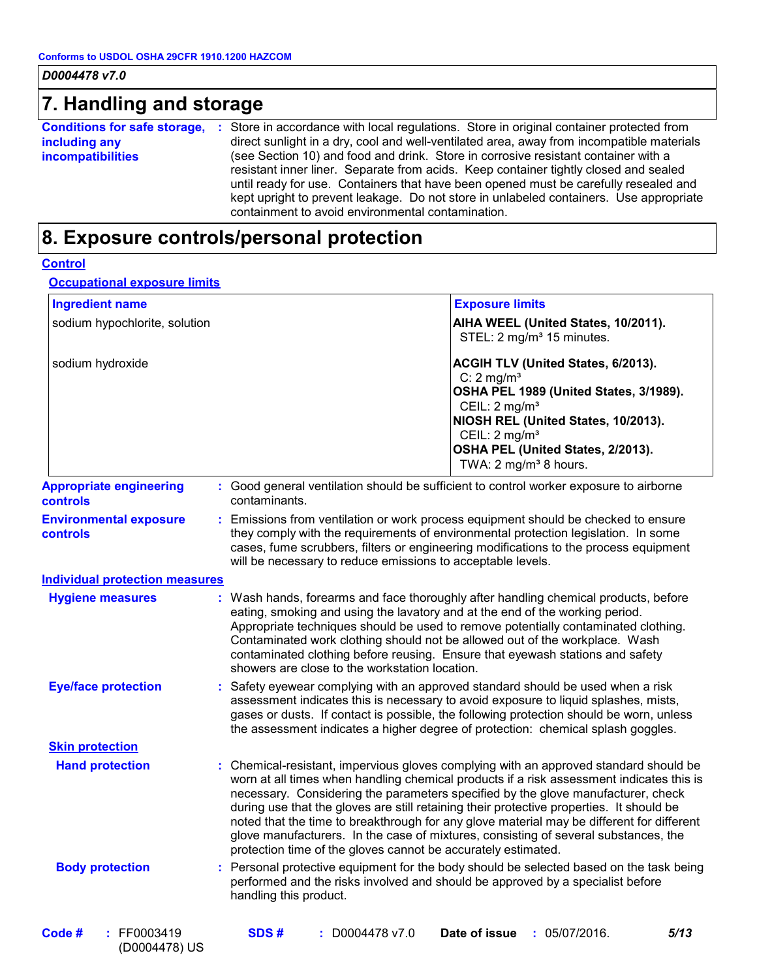# **7. Handling and storage**

| <b>Conditions for safe storage,</b> | : Store in accordance with local regulations. Store in original container protected from  |
|-------------------------------------|-------------------------------------------------------------------------------------------|
| including any                       | direct sunlight in a dry, cool and well-ventilated area, away from incompatible materials |
| <b>incompatibilities</b>            | (see Section 10) and food and drink. Store in corrosive resistant container with a        |
|                                     | resistant inner liner. Separate from acids. Keep container tightly closed and sealed      |
|                                     | until ready for use. Containers that have been opened must be carefully resealed and      |
|                                     | kept upright to prevent leakage. Do not store in unlabeled containers. Use appropriate    |
|                                     | containment to avoid environmental contamination.                                         |

# **8. Exposure controls/personal protection**

|  | onno |  |
|--|------|--|
|  |      |  |

#### **Occupational exposure limits**

| <b>Ingredient name</b>                     |                                                                                                                                                                                                                                                                                                | <b>Exposure limits</b>                                                                                                                                                                                                                                                                                                                                                                                                                                                                                                                                |
|--------------------------------------------|------------------------------------------------------------------------------------------------------------------------------------------------------------------------------------------------------------------------------------------------------------------------------------------------|-------------------------------------------------------------------------------------------------------------------------------------------------------------------------------------------------------------------------------------------------------------------------------------------------------------------------------------------------------------------------------------------------------------------------------------------------------------------------------------------------------------------------------------------------------|
| sodium hypochlorite, solution              |                                                                                                                                                                                                                                                                                                | AIHA WEEL (United States, 10/2011).<br>STEL: 2 mg/m <sup>3</sup> 15 minutes.                                                                                                                                                                                                                                                                                                                                                                                                                                                                          |
| sodium hydroxide                           |                                                                                                                                                                                                                                                                                                | ACGIH TLV (United States, 6/2013).<br>C: $2 \text{ mg/m}^3$<br>OSHA PEL 1989 (United States, 3/1989).<br>CEIL: 2 mg/m <sup>3</sup><br>NIOSH REL (United States, 10/2013).<br>CEIL: $2 \text{ mg/m}^3$<br>OSHA PEL (United States, 2/2013).<br>TWA: 2 mg/m <sup>3</sup> 8 hours.                                                                                                                                                                                                                                                                       |
| <b>Appropriate engineering</b><br>controls | contaminants.                                                                                                                                                                                                                                                                                  | : Good general ventilation should be sufficient to control worker exposure to airborne                                                                                                                                                                                                                                                                                                                                                                                                                                                                |
| <b>Environmental exposure</b><br>controls  | will be necessary to reduce emissions to acceptable levels.                                                                                                                                                                                                                                    | : Emissions from ventilation or work process equipment should be checked to ensure<br>they comply with the requirements of environmental protection legislation. In some<br>cases, fume scrubbers, filters or engineering modifications to the process equipment                                                                                                                                                                                                                                                                                      |
| <b>Individual protection measures</b>      |                                                                                                                                                                                                                                                                                                |                                                                                                                                                                                                                                                                                                                                                                                                                                                                                                                                                       |
| <b>Hygiene measures</b>                    | eating, smoking and using the lavatory and at the end of the working period.<br>Contaminated work clothing should not be allowed out of the workplace. Wash<br>contaminated clothing before reusing. Ensure that eyewash stations and safety<br>showers are close to the workstation location. | : Wash hands, forearms and face thoroughly after handling chemical products, before<br>Appropriate techniques should be used to remove potentially contaminated clothing.                                                                                                                                                                                                                                                                                                                                                                             |
| <b>Eye/face protection</b>                 |                                                                                                                                                                                                                                                                                                | Safety eyewear complying with an approved standard should be used when a risk<br>assessment indicates this is necessary to avoid exposure to liquid splashes, mists,<br>gases or dusts. If contact is possible, the following protection should be worn, unless<br>the assessment indicates a higher degree of protection: chemical splash goggles.                                                                                                                                                                                                   |
| <b>Skin protection</b>                     |                                                                                                                                                                                                                                                                                                |                                                                                                                                                                                                                                                                                                                                                                                                                                                                                                                                                       |
| <b>Hand protection</b>                     | protection time of the gloves cannot be accurately estimated.                                                                                                                                                                                                                                  | : Chemical-resistant, impervious gloves complying with an approved standard should be<br>worn at all times when handling chemical products if a risk assessment indicates this is<br>necessary. Considering the parameters specified by the glove manufacturer, check<br>during use that the gloves are still retaining their protective properties. It should be<br>noted that the time to breakthrough for any glove material may be different for different<br>glove manufacturers. In the case of mixtures, consisting of several substances, the |
| <b>Body protection</b>                     | performed and the risks involved and should be approved by a specialist before<br>handling this product.                                                                                                                                                                                       | : Personal protective equipment for the body should be selected based on the task being                                                                                                                                                                                                                                                                                                                                                                                                                                                               |
| : FF0003419<br>Code #<br>(D0004478) US     | SDS#<br>$: $ D0004478 v7.0                                                                                                                                                                                                                                                                     | Date of issue<br>5/13<br>: 05/07/2016.                                                                                                                                                                                                                                                                                                                                                                                                                                                                                                                |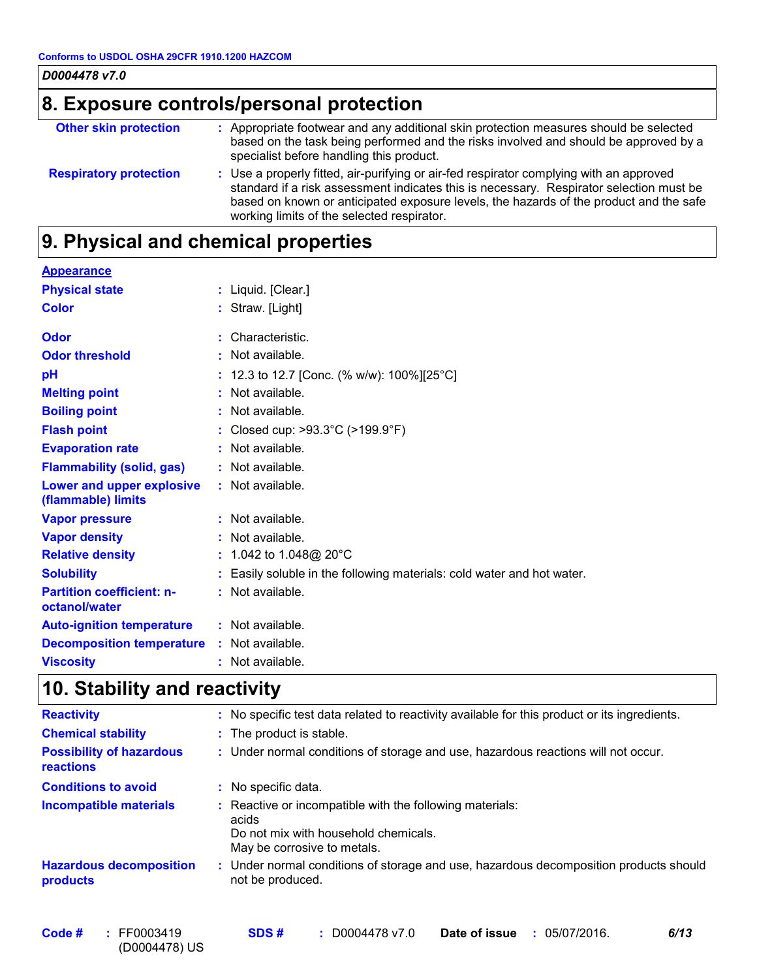| D0004478 v7.0                            |                                                                                                                                                                                                                                                                                                                            |  |  |  |  |  |
|------------------------------------------|----------------------------------------------------------------------------------------------------------------------------------------------------------------------------------------------------------------------------------------------------------------------------------------------------------------------------|--|--|--|--|--|
| 8. Exposure controls/personal protection |                                                                                                                                                                                                                                                                                                                            |  |  |  |  |  |
| <b>Other skin protection</b>             | : Appropriate footwear and any additional skin protection measures should be selected<br>based on the task being performed and the risks involved and should be approved by a<br>specialist before handling this product.                                                                                                  |  |  |  |  |  |
| <b>Respiratory protection</b>            | : Use a properly fitted, air-purifying or air-fed respirator complying with an approved<br>standard if a risk assessment indicates this is necessary. Respirator selection must be<br>based on known or anticipated exposure levels, the hazards of the product and the safe<br>working limits of the selected respirator. |  |  |  |  |  |

# **9. Physical and chemical properties**

| <b>Appearance</b>                                 |                                                                      |
|---------------------------------------------------|----------------------------------------------------------------------|
| <b>Physical state</b>                             | : Liquid. [Clear.]                                                   |
| <b>Color</b>                                      | : Straw. [Light]                                                     |
| Odor                                              | : Characteristic.                                                    |
| <b>Odor threshold</b>                             | : Not available.                                                     |
| pH                                                | : 12.3 to 12.7 [Conc. (% w/w): 100%][25°C]                           |
| <b>Melting point</b>                              | : Not available.                                                     |
| <b>Boiling point</b>                              | : Not available.                                                     |
| <b>Flash point</b>                                | : Closed cup: $>93.3^{\circ}$ C ( $>199.9^{\circ}$ F)                |
| <b>Evaporation rate</b>                           | : Not available.                                                     |
| <b>Flammability (solid, gas)</b>                  | : Not available.                                                     |
| Lower and upper explosive<br>(flammable) limits   | : Not available.                                                     |
| <b>Vapor pressure</b>                             | : Not available.                                                     |
| <b>Vapor density</b>                              | : Not available.                                                     |
| <b>Relative density</b>                           | : 1.042 to 1.048@ 20 $^{\circ}$ C                                    |
| <b>Solubility</b>                                 | Easily soluble in the following materials: cold water and hot water. |
| <b>Partition coefficient: n-</b><br>octanol/water | : Not available.                                                     |
| <b>Auto-ignition temperature</b>                  | : Not available.                                                     |
| <b>Decomposition temperature</b>                  | : Not available.                                                     |
| <b>Viscosity</b>                                  | Not available.                                                       |

# **10. Stability and reactivity**

| <b>Reactivity</b>                            |    | : No specific test data related to reactivity available for this product or its ingredients.                                           |
|----------------------------------------------|----|----------------------------------------------------------------------------------------------------------------------------------------|
| <b>Chemical stability</b>                    |    | : The product is stable.                                                                                                               |
| <b>Possibility of hazardous</b><br>reactions |    | : Under normal conditions of storage and use, hazardous reactions will not occur.                                                      |
| <b>Conditions to avoid</b>                   | ÷. | No specific data.                                                                                                                      |
| <b>Incompatible materials</b>                |    | Reactive or incompatible with the following materials:<br>acids<br>Do not mix with household chemicals.<br>May be corrosive to metals. |
| <b>Hazardous decomposition</b><br>products   |    | : Under normal conditions of storage and use, hazardous decomposition products should<br>not be produced.                              |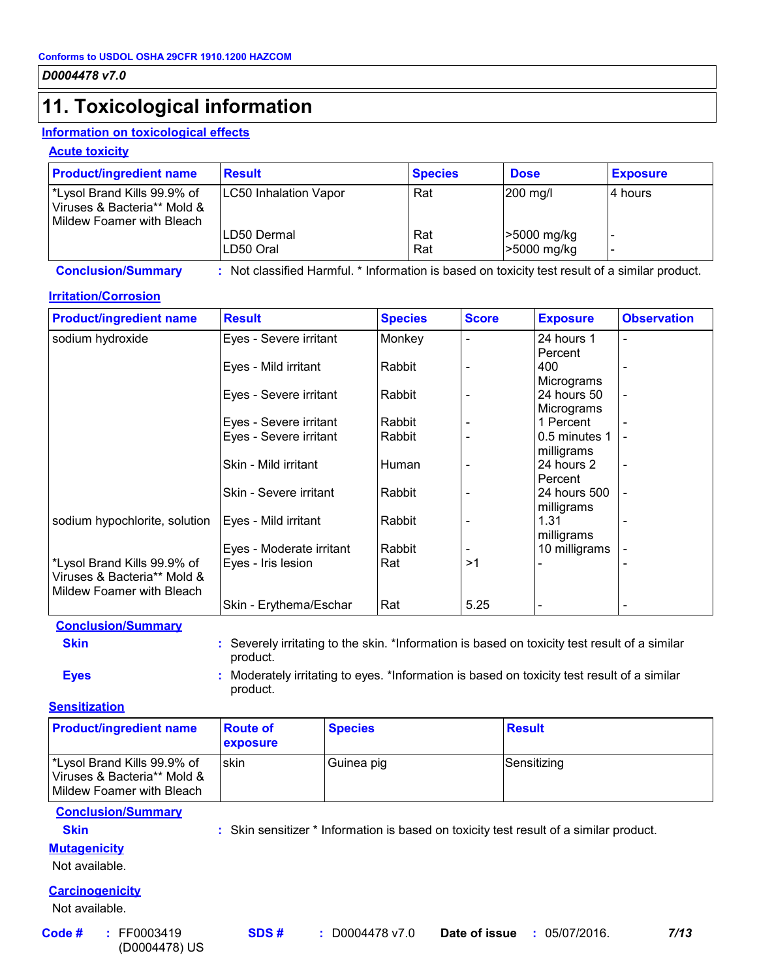# **11. Toxicological information**

#### **Information on toxicological effects**

#### **Acute toxicity**

| <b>Product/ingredient name</b>                                                                        | <b>Result</b>                | <b>Species</b> | <b>Dose</b>                | <b>Exposure</b> |
|-------------------------------------------------------------------------------------------------------|------------------------------|----------------|----------------------------|-----------------|
| <sup>*</sup> Lysol Brand Kills 99.9% of<br>Viruses & Bacteria** Mold &<br>l Mildew Foamer with Bleach | <b>LC50 Inhalation Vapor</b> | Rat            | 200 mg/l                   | l4 hours        |
|                                                                                                       | LD50 Dermal<br>LD50 Oral     | Rat<br>Rat     | >5000 mg/kg<br>>5000 mg/kg |                 |

**Conclusion/Summary :** Not classified Harmful. \* Information is based on toxicity test result of a similar product.

#### **Irritation/Corrosion**

| <b>Product/ingredient name</b> | <b>Result</b>            | <b>Species</b> | <b>Score</b> | <b>Exposure</b>          | <b>Observation</b>       |
|--------------------------------|--------------------------|----------------|--------------|--------------------------|--------------------------|
| sodium hydroxide               | Eyes - Severe irritant   | Monkey         |              | 24 hours 1               |                          |
|                                |                          |                |              | Percent                  |                          |
|                                | Eyes - Mild irritant     | Rabbit         |              | 400                      |                          |
|                                |                          |                |              | Micrograms               |                          |
|                                | Eyes - Severe irritant   | Rabbit         |              | 24 hours 50              | $\blacksquare$           |
|                                |                          |                |              | Micrograms               |                          |
|                                | Eyes - Severe irritant   | Rabbit         |              | 1 Percent                |                          |
|                                | Eyes - Severe irritant   | Rabbit         |              | 0.5 minutes 1            |                          |
|                                |                          |                |              | milligrams               |                          |
|                                | Skin - Mild irritant     | Human          |              | 24 hours 2               |                          |
|                                |                          |                |              | Percent                  |                          |
|                                | Skin - Severe irritant   | Rabbit         |              | 24 hours 500             |                          |
|                                |                          |                |              | milligrams               |                          |
| sodium hypochlorite, solution  | Eyes - Mild irritant     | Rabbit         |              | 1.31                     |                          |
|                                |                          |                |              | milligrams               |                          |
|                                | Eyes - Moderate irritant | Rabbit         |              | 10 milligrams            |                          |
| *Lysol Brand Kills 99.9% of    | Eyes - Iris lesion       | Rat            | >1           |                          |                          |
| Viruses & Bacteria** Mold &    |                          |                |              |                          |                          |
| Mildew Foamer with Bleach      |                          |                |              |                          |                          |
|                                | Skin - Erythema/Eschar   | Rat            | 5.25         | $\overline{\phantom{a}}$ | $\overline{\phantom{0}}$ |

#### **Conclusion/Summary Skin Example 20 :** Severely irritating to the skin. \*Information is based on toxicity test result of a similar product. **Eyes Eyes :** Moderately irritating to eyes. \*Information is based on toxicity test result of a similar

product.

#### **Sensitization**

| <b>Product/ingredient name</b>                                                         | <b>Route of</b><br><b>exposure</b> | <b>Species</b> | <b>Result</b> |
|----------------------------------------------------------------------------------------|------------------------------------|----------------|---------------|
| Lysol Brand Kills 99.9% of<br>Viruses & Bacteria** Mold &<br>Mildew Foamer with Bleach | <b>skin</b>                        | Guinea pig     | Sensitizing   |

#### **Conclusion/Summary**

**Skin :** Skin sensitizer \* Information is based on toxicity test result of a similar product.

#### **Mutagenicity**

Not available.

#### **Carcinogenicity**

Not available.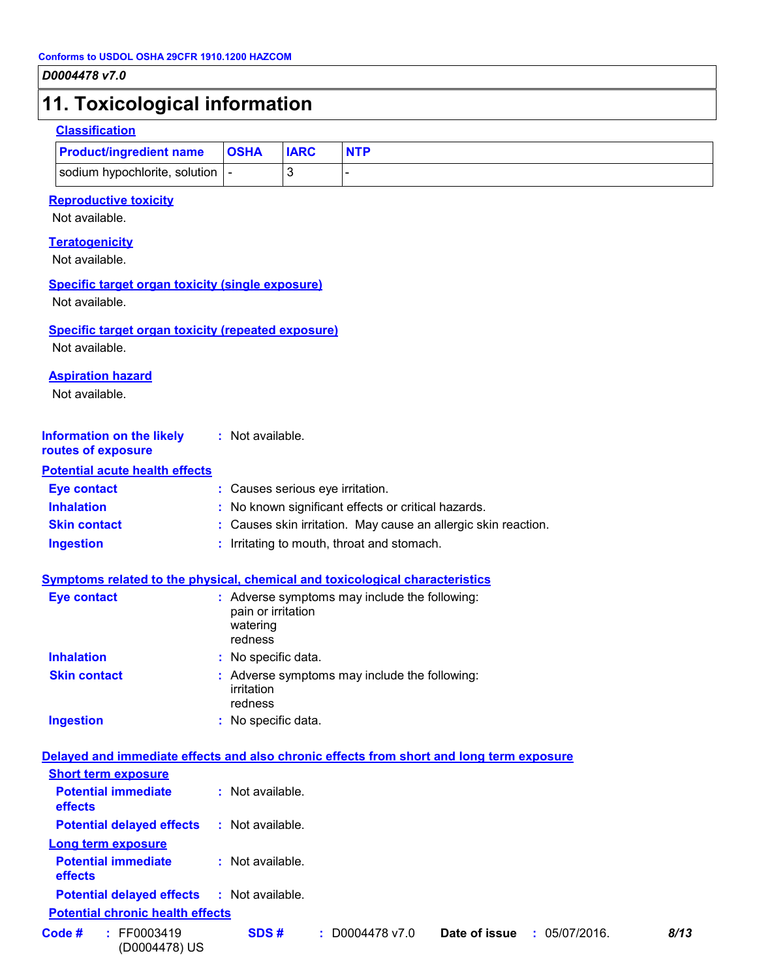### **11. Toxicological information**

#### **Classification**

| <b>Product/ingredient name</b>   | <b>OSHA</b> | <b>IARC</b> |  |
|----------------------------------|-------------|-------------|--|
| sodium hypochlorite, solution  - |             |             |  |

#### **Reproductive toxicity**

Not available.

#### **Teratogenicity**

Not available.

#### **Specific target organ toxicity (single exposure)**

Not available.

#### **Specific target organ toxicity (repeated exposure)**

Not available.

#### **Aspiration hazard**

Not available.

| <b>Information on the likely</b> | : Not available. |
|----------------------------------|------------------|
|                                  |                  |

#### **routes of exposure Potential acute health effects**

| Potential acute nealth effects |                                                                |
|--------------------------------|----------------------------------------------------------------|
| <b>Eye contact</b>             | : Causes serious eye irritation.                               |
| <b>Inhalation</b>              | : No known significant effects or critical hazards.            |
| <b>Skin contact</b>            | : Causes skin irritation. May cause an allergic skin reaction. |
| <b>Ingestion</b>               | : Irritating to mouth, throat and stomach.                     |

#### **Symptoms related to the physical, chemical and toxicological characteristics**

| <b>Eye contact</b>  | : Adverse symptoms may include the following:<br>pain or irritation<br>watering<br>redness |
|---------------------|--------------------------------------------------------------------------------------------|
| <b>Inhalation</b>   | : No specific data.                                                                        |
| <b>Skin contact</b> | : Adverse symptoms may include the following:<br>irritation<br>redness                     |
| <b>Ingestion</b>    | : No specific data.                                                                        |

| Delayed and immediate effects and also chronic effects from short and long term exposure |                  |                   |                                |      |
|------------------------------------------------------------------------------------------|------------------|-------------------|--------------------------------|------|
| <b>Short term exposure</b>                                                               |                  |                   |                                |      |
| <b>Potential immediate</b><br><b>effects</b>                                             | : Not available. |                   |                                |      |
| <b>Potential delayed effects</b>                                                         | : Not available. |                   |                                |      |
| <b>Long term exposure</b>                                                                |                  |                   |                                |      |
| <b>Potential immediate</b><br><b>effects</b>                                             | : Not available. |                   |                                |      |
| <b>Potential delayed effects : Not available.</b>                                        |                  |                   |                                |      |
| <b>Potential chronic health effects</b>                                                  |                  |                   |                                |      |
| Code #<br>: FF0003419<br>(D0004478) US                                                   | SDS#             | $:$ D0004478 v7.0 | Date of issue<br>: 05/07/2016. | 8/13 |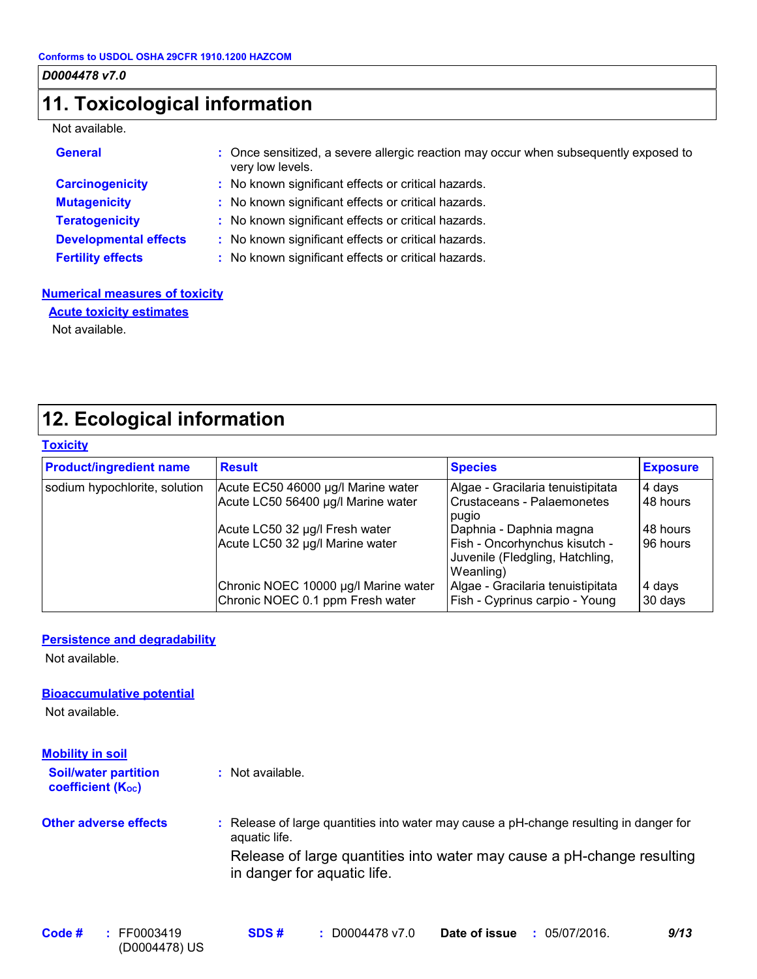# **11. Toxicological information**

#### Not available.

| <b>General</b>               | : Once sensitized, a severe allergic reaction may occur when subsequently exposed to<br>very low levels. |
|------------------------------|----------------------------------------------------------------------------------------------------------|
| <b>Carcinogenicity</b>       | : No known significant effects or critical hazards.                                                      |
| <b>Mutagenicity</b>          | : No known significant effects or critical hazards.                                                      |
| <b>Teratogenicity</b>        | : No known significant effects or critical hazards.                                                      |
| <b>Developmental effects</b> | : No known significant effects or critical hazards.                                                      |
| <b>Fertility effects</b>     | : No known significant effects or critical hazards.                                                      |

#### **Numerical measures of toxicity Acute toxicity estimates**

Not available.

# **12. Ecological information**

| <b>Toxicity</b> |  |  |
|-----------------|--|--|
|                 |  |  |
|                 |  |  |

| <b>Product/ingredient name</b> | <b>Result</b>                                                            | <b>Species</b>                                                                                           | <b>Exposure</b>      |
|--------------------------------|--------------------------------------------------------------------------|----------------------------------------------------------------------------------------------------------|----------------------|
| sodium hypochlorite, solution  | Acute EC50 46000 µg/l Marine water<br>Acute LC50 56400 µg/l Marine water | Algae - Gracilaria tenuistipitata<br>Crustaceans - Palaemonetes<br>pugio                                 | 4 days<br>48 hours   |
|                                | Acute LC50 32 µg/l Fresh water<br>Acute LC50 32 µg/l Marine water        | Daphnia - Daphnia magna<br>Fish - Oncorhynchus kisutch -<br>Juvenile (Fledgling, Hatchling,<br>Weanling) | 48 hours<br>96 hours |
|                                | Chronic NOEC 10000 µg/l Marine water<br>Chronic NOEC 0.1 ppm Fresh water | Algae - Gracilaria tenuistipitata<br>Fish - Cyprinus carpio - Young                                      | 4 days<br>30 days    |

#### **Persistence and degradability**

Not available.

#### **Bioaccumulative potential**

Not available.

| <b>Mobility in soil</b>                                 |                                                                                                         |  |  |  |  |  |
|---------------------------------------------------------|---------------------------------------------------------------------------------------------------------|--|--|--|--|--|
| <b>Soil/water partition</b><br><b>coefficient (Koc)</b> | : Not available.                                                                                        |  |  |  |  |  |
| <b>Other adverse effects</b>                            | : Release of large quantities into water may cause a pH-change resulting in danger for<br>aquatic life. |  |  |  |  |  |
|                                                         | Release of large quantities into water may cause a pH-change resulting<br>in danger for aquatic life.   |  |  |  |  |  |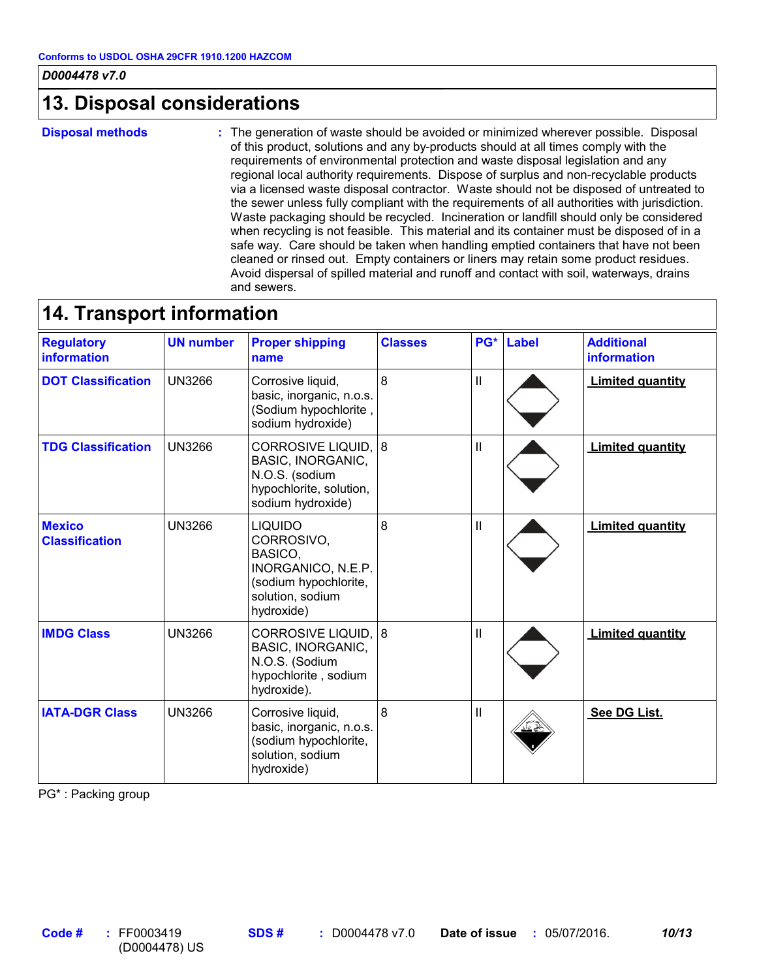## **13. Disposal considerations**

**Disposal methods :**

The generation of waste should be avoided or minimized wherever possible. Disposal of this product, solutions and any by-products should at all times comply with the requirements of environmental protection and waste disposal legislation and any regional local authority requirements. Dispose of surplus and non-recyclable products via a licensed waste disposal contractor. Waste should not be disposed of untreated to the sewer unless fully compliant with the requirements of all authorities with jurisdiction. Waste packaging should be recycled. Incineration or landfill should only be considered when recycling is not feasible. This material and its container must be disposed of in a safe way. Care should be taken when handling emptied containers that have not been cleaned or rinsed out. Empty containers or liners may retain some product residues. Avoid dispersal of spilled material and runoff and contact with soil, waterways, drains and sewers.

### **14. Transport information**

| <b>Regulatory</b><br><b>information</b> | <b>UN number</b> | <b>Proper shipping</b><br>name                                                                                           | <b>Classes</b> |              | PG* Label | <b>Additional</b><br>information |
|-----------------------------------------|------------------|--------------------------------------------------------------------------------------------------------------------------|----------------|--------------|-----------|----------------------------------|
| <b>DOT Classification</b>               | <b>UN3266</b>    | Corrosive liquid,<br>basic, inorganic, n.o.s.<br>(Sodium hypochlorite,<br>sodium hydroxide)                              | 8              | Ш            |           | <b>Limited quantity</b>          |
| <b>TDG Classification</b>               | <b>UN3266</b>    | CORROSIVE LIQUID, 8<br><b>BASIC, INORGANIC,</b><br>N.O.S. (sodium<br>hypochlorite, solution,<br>sodium hydroxide)        |                | $\mathbf{H}$ |           | <b>Limited quantity</b>          |
| <b>Mexico</b><br><b>Classification</b>  | <b>UN3266</b>    | <b>LIQUIDO</b><br>CORROSIVO,<br>BASICO.<br>INORGANICO, N.E.P.<br>(sodium hypochlorite,<br>solution, sodium<br>hydroxide) | 8              | Ш            |           | <b>Limited quantity</b>          |
| <b>IMDG Class</b>                       | <b>UN3266</b>    | CORROSIVE LIQUID, 8<br><b>BASIC, INORGANIC,</b><br>N.O.S. (Sodium<br>hypochlorite, sodium<br>hydroxide).                 |                | Ш            |           | <b>Limited quantity</b>          |
| <b>IATA-DGR Class</b>                   | <b>UN3266</b>    | Corrosive liquid,<br>basic, inorganic, n.o.s.<br>(sodium hypochlorite,<br>solution, sodium<br>hydroxide)                 | 8              | Ш            |           | See DG List.                     |

PG\* : Packing group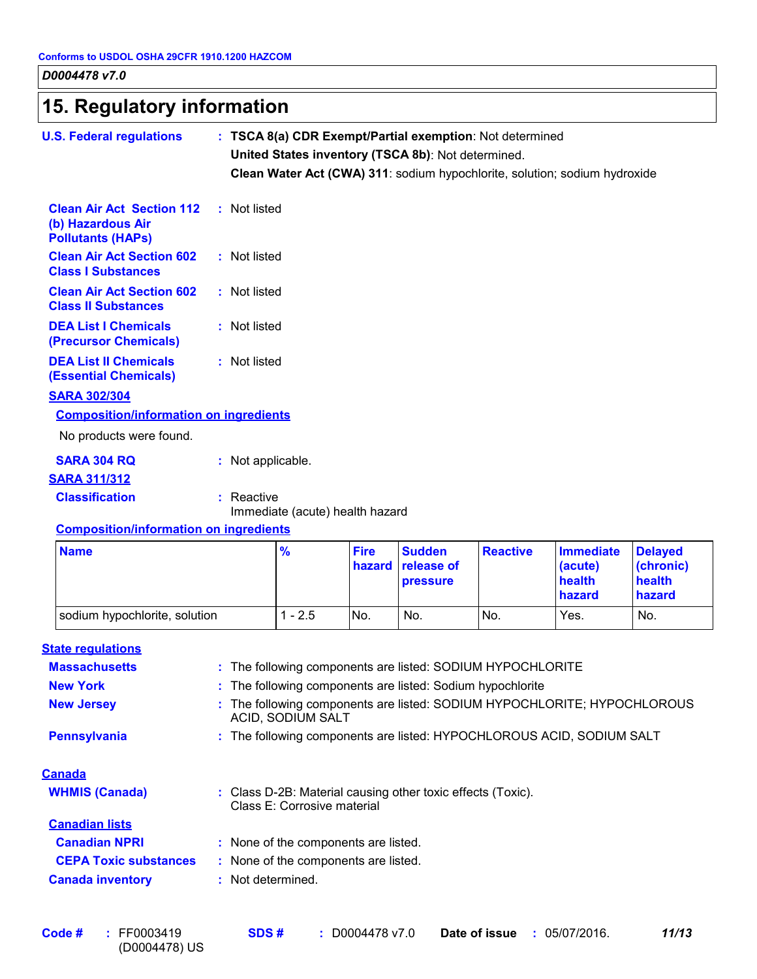|  |  | 15. Regulatory information |  |
|--|--|----------------------------|--|
|--|--|----------------------------|--|

| <b>U.S. Federal regulations</b>                                                   | : TSCA 8(a) CDR Exempt/Partial exemption: Not determined<br>United States inventory (TSCA 8b): Not determined.<br>Clean Water Act (CWA) 311: sodium hypochlorite, solution; sodium hydroxide |                       |                                                |                 |                                       |                                       |
|-----------------------------------------------------------------------------------|----------------------------------------------------------------------------------------------------------------------------------------------------------------------------------------------|-----------------------|------------------------------------------------|-----------------|---------------------------------------|---------------------------------------|
| <b>Clean Air Act Section 112</b><br>(b) Hazardous Air<br><b>Pollutants (HAPs)</b> | : Not listed                                                                                                                                                                                 |                       |                                                |                 |                                       |                                       |
| <b>Clean Air Act Section 602</b><br><b>Class I Substances</b>                     | : Not listed                                                                                                                                                                                 |                       |                                                |                 |                                       |                                       |
| <b>Clean Air Act Section 602</b><br><b>Class II Substances</b>                    | : Not listed                                                                                                                                                                                 |                       |                                                |                 |                                       |                                       |
| <b>DEA List I Chemicals</b><br>(Precursor Chemicals)                              | : Not listed                                                                                                                                                                                 |                       |                                                |                 |                                       |                                       |
| <b>DEA List II Chemicals</b><br><b>(Essential Chemicals)</b>                      | : Not listed                                                                                                                                                                                 |                       |                                                |                 |                                       |                                       |
| <b>SARA 302/304</b>                                                               |                                                                                                                                                                                              |                       |                                                |                 |                                       |                                       |
| <b>Composition/information on ingredients</b>                                     |                                                                                                                                                                                              |                       |                                                |                 |                                       |                                       |
| No products were found.                                                           |                                                                                                                                                                                              |                       |                                                |                 |                                       |                                       |
| <b>SARA 304 RQ</b><br><b>SARA 311/312</b>                                         | : Not applicable.                                                                                                                                                                            |                       |                                                |                 |                                       |                                       |
| <b>Classification</b>                                                             | $:$ Reactive<br>Immediate (acute) health hazard                                                                                                                                              |                       |                                                |                 |                                       |                                       |
| <b>Composition/information on ingredients</b>                                     |                                                                                                                                                                                              |                       |                                                |                 |                                       |                                       |
| <b>Name</b>                                                                       | %                                                                                                                                                                                            | <b>Fire</b><br>hazard | <b>Sudden</b><br>release of<br><b>pressure</b> | <b>Reactive</b> | <b>Immediate</b><br>(acute)<br>health | <b>Delayed</b><br>(chronic)<br>health |

|                               |        |     | I DI 69901 A |     | пеаш<br><b>hazard</b> | $\blacksquare$<br>hazard |
|-------------------------------|--------|-----|--------------|-----|-----------------------|--------------------------|
| sodium hypochlorite, solution | $-2.5$ | No. | No.          | No. | Yes.                  | No.                      |
|                               |        |     |              |     |                       |                          |

#### **State regulations**

| <b>Massachusetts</b>         | : The following components are listed: SODIUM HYPOCHLORITE                                    |
|------------------------------|-----------------------------------------------------------------------------------------------|
| <b>New York</b>              | : The following components are listed: Sodium hypochlorite                                    |
| <b>New Jersey</b>            | : The following components are listed: SODIUM HYPOCHLORITE; HYPOCHLOROUS<br>ACID, SODIUM SALT |
| <b>Pennsylvania</b>          | : The following components are listed: HYPOCHLOROUS ACID, SODIUM SALT                         |
| <b>Canada</b>                |                                                                                               |
| <b>WHMIS (Canada)</b>        | : Class D-2B: Material causing other toxic effects (Toxic).<br>Class E: Corrosive material    |
| <b>Canadian lists</b>        |                                                                                               |
| <b>Canadian NPRI</b>         | : None of the components are listed.                                                          |
| <b>CEPA Toxic substances</b> | : None of the components are listed.                                                          |
| <b>Canada inventory</b>      | : Not determined.                                                                             |
|                              |                                                                                               |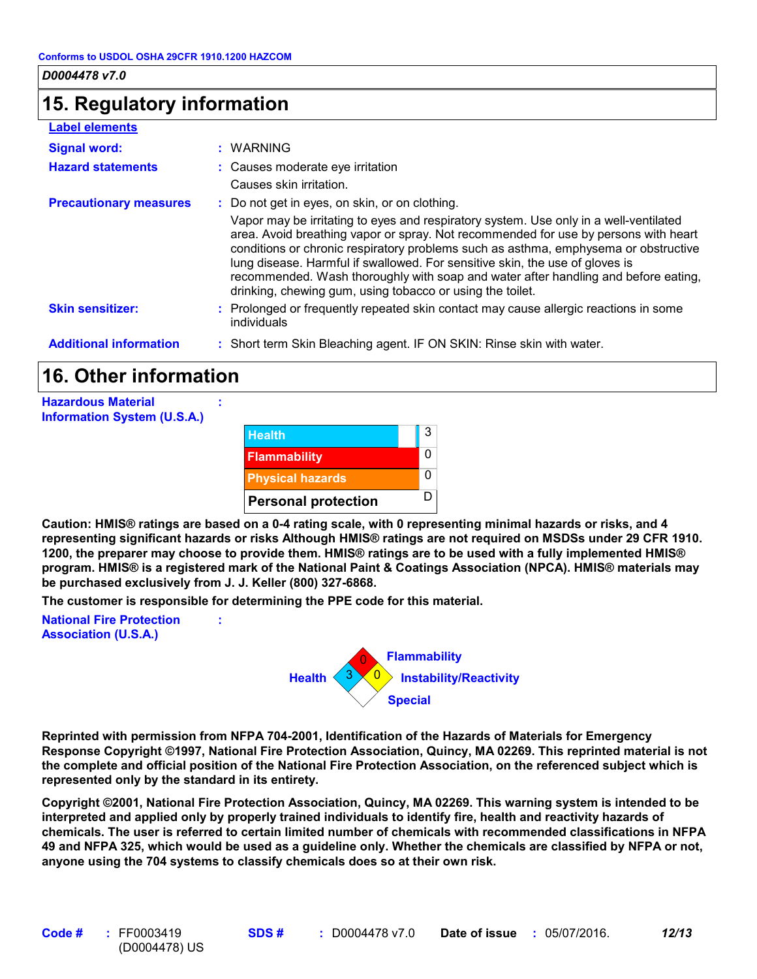### **15. Regulatory information**

#### **Label elements**

| Signal word:<br><b>Hazard statements</b> | : WARNING<br>: Causes moderate eye irritation<br>Causes skin irritation.                                                                                                                                                                                                                                                                                                                                                                                                                                                                                 |
|------------------------------------------|----------------------------------------------------------------------------------------------------------------------------------------------------------------------------------------------------------------------------------------------------------------------------------------------------------------------------------------------------------------------------------------------------------------------------------------------------------------------------------------------------------------------------------------------------------|
| <b>Precautionary measures</b>            | : Do not get in eyes, on skin, or on clothing.<br>Vapor may be irritating to eyes and respiratory system. Use only in a well-ventilated<br>area. Avoid breathing vapor or spray. Not recommended for use by persons with heart<br>conditions or chronic respiratory problems such as asthma, emphysema or obstructive<br>lung disease. Harmful if swallowed. For sensitive skin, the use of gloves is<br>recommended. Wash thoroughly with soap and water after handling and before eating,<br>drinking, chewing gum, using tobacco or using the toilet. |
| <b>Skin sensitizer:</b>                  | : Prolonged or frequently repeated skin contact may cause allergic reactions in some<br>individuals                                                                                                                                                                                                                                                                                                                                                                                                                                                      |
| <b>Additional information</b>            | : Short term Skin Bleaching agent. IF ON SKIN: Rinse skin with water.                                                                                                                                                                                                                                                                                                                                                                                                                                                                                    |

# **16. Other information**

**Hazardous Material Information System (U.S.A.)**



**Caution: HMIS® ratings are based on a 0-4 rating scale, with 0 representing minimal hazards or risks, and 4 representing significant hazards or risks Although HMIS® ratings are not required on MSDSs under 29 CFR 1910. 1200, the preparer may choose to provide them. HMIS® ratings are to be used with a fully implemented HMIS® program. HMIS® is a registered mark of the National Paint & Coatings Association (NPCA). HMIS® materials may be purchased exclusively from J. J. Keller (800) 327-6868.**

**The customer is responsible for determining the PPE code for this material.**

**:**

**:**

**National Fire Protection Association (U.S.A.)**



**Reprinted with permission from NFPA 704-2001, Identification of the Hazards of Materials for Emergency Response Copyright ©1997, National Fire Protection Association, Quincy, MA 02269. This reprinted material is not the complete and official position of the National Fire Protection Association, on the referenced subject which is represented only by the standard in its entirety.**

**Copyright ©2001, National Fire Protection Association, Quincy, MA 02269. This warning system is intended to be interpreted and applied only by properly trained individuals to identify fire, health and reactivity hazards of chemicals. The user is referred to certain limited number of chemicals with recommended classifications in NFPA 49 and NFPA 325, which would be used as a guideline only. Whether the chemicals are classified by NFPA or not, anyone using the 704 systems to classify chemicals does so at their own risk.**